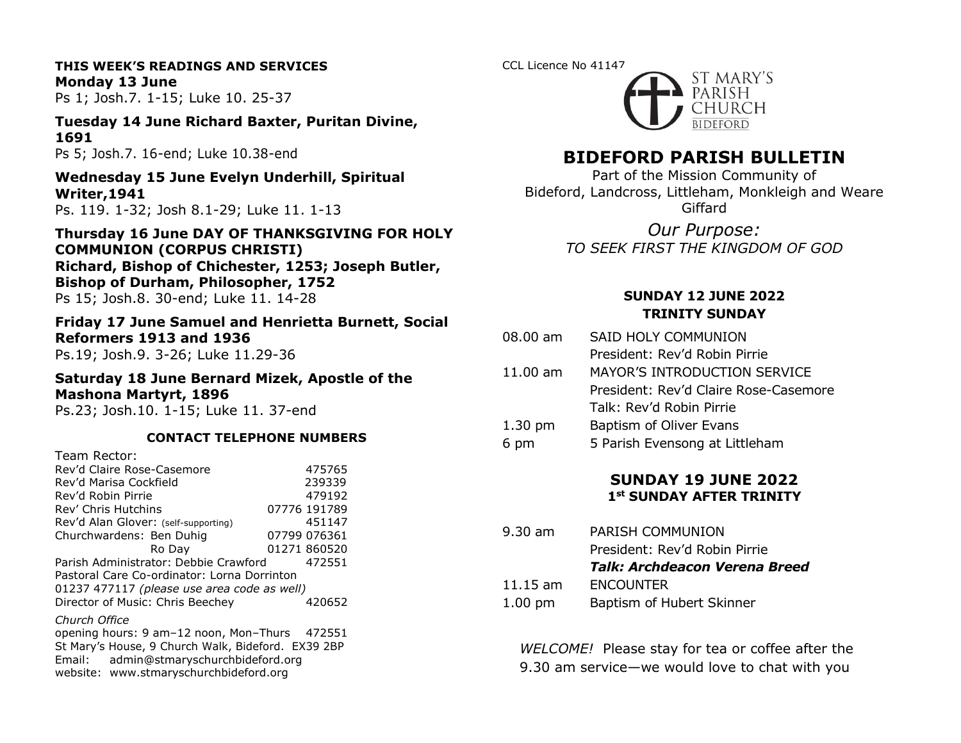# **THIS WEEK'S READINGS AND SERVICES Monday 13 June**

Ps 1; Josh.7. 1-15; Luke 10. 25-37

# **Tuesday 14 June Richard Baxter, Puritan Divine, 1691**

Ps 5; Josh.7. 16-end; Luke 10.38-end

### **Wednesday 15 June Evelyn Underhill, Spiritual Writer,1941**

Ps. 119. 1-32; Josh 8.1-29; Luke 11. 1-13

### **Thursday 16 June DAY OF THANKSGIVING FOR HOLY COMMUNION (CORPUS CHRISTI) Richard, Bishop of Chichester, 1253; Joseph Butler, Bishop of Durham, Philosopher, 1752** Ps 15; Josh.8. 30-end; Luke 11. 14-28

### **Friday 17 June Samuel and Henrietta Burnett, Social Reformers 1913 and 1936** Ps.19; Josh.9. 3-26; Luke 11.29-36

### **Saturday 18 June Bernard Mizek, Apostle of the Mashona Martyrt, 1896**

Ps.23; Josh.10. 1-15; Luke 11. 37-end

### **CONTACT TELEPHONE NUMBERS**

| Team Rector:                                |  |              |  |
|---------------------------------------------|--|--------------|--|
| Rev'd Claire Rose-Casemore                  |  | 475765       |  |
| Rev'd Marisa Cockfield                      |  | 239339       |  |
| Rev'd Robin Pirrie                          |  | 479192       |  |
| Rev' Chris Hutchins                         |  | 07776 191789 |  |
| Rev'd Alan Glover: (self-supporting)        |  | 451147       |  |
| Churchwardens: Ben Duhig                    |  | 07799 076361 |  |
| Ro Day                                      |  | 01271 860520 |  |
| Parish Administrator: Debbie Crawford       |  | 472551       |  |
| Pastoral Care Co-ordinator: Lorna Dorrinton |  |              |  |
| 01237 477117 (please use area code as well) |  |              |  |
| Director of Music: Chris Beechey            |  | 420652       |  |
| Church Office                               |  |              |  |

opening hours: 9 am–12 noon, Mon–Thurs 472551 St Mary's House, 9 Church Walk, Bideford. EX39 2BP Email: admin@stmaryschurchbideford.org website: www.stmaryschurchbideford.org

### CCL Licence No 41147



# **BIDEFORD PARISH BULLETIN**

Part of the Mission Community of Bideford, Landcross, Littleham, Monkleigh and Weare Giffard

> *Our Purpose: TO SEEK FIRST THE KINGDOM OF GOD*

### **SUNDAY 12 JUNE 2022 TRINITY SUNDAY**

- 08.00 am SAID HOLY COMMUNION
	- President: Rev'd Robin Pirrie
- 11.00 am MAYOR'S INTRODUCTION SERVICE President: Rev'd Claire Rose-Casemore Talk: Rev'd Robin Pirrie
- 1.30 pm Baptism of Oliver Evans
- 6 pm 5 Parish Evensong at Littleham

### **SUNDAY 19 JUNE 2022 1st SUNDAY AFTER TRINITY**

9.30 am PARISH COMMUNION President: Rev'd Robin Pirrie *Talk: Archdeacon Verena Breed* 11.15 am ENCOUNTER 1.00 pm Baptism of Hubert Skinner

*WELCOME!* Please stay for tea or coffee after the 9.30 am service—we would love to chat with you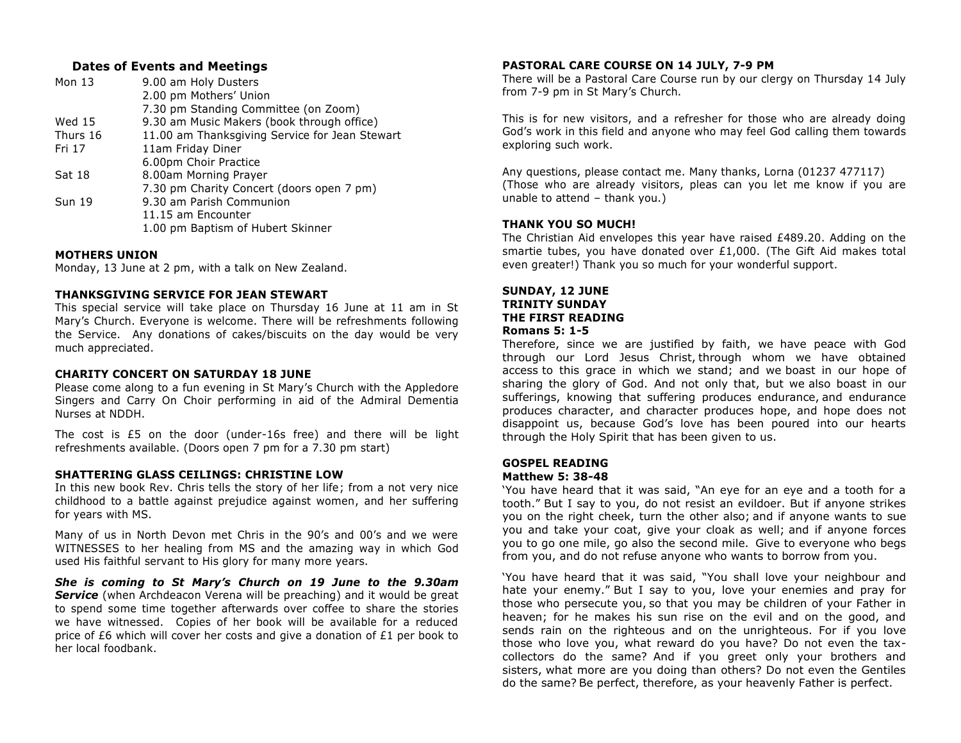### **Dates of Events and Meetings**

| 9.00 am Holy Dusters                           |
|------------------------------------------------|
| 2.00 pm Mothers' Union                         |
| 7.30 pm Standing Committee (on Zoom)           |
| 9.30 am Music Makers (book through office)     |
| 11.00 am Thanksgiving Service for Jean Stewart |
| 11am Friday Diner                              |
| 6.00pm Choir Practice                          |
| 8.00am Morning Prayer                          |
| 7.30 pm Charity Concert (doors open 7 pm)      |
| 9.30 am Parish Communion                       |
| 11.15 am Encounter                             |
| 1.00 pm Baptism of Hubert Skinner              |
|                                                |

#### **MOTHERS UNION**

Monday, 13 June at 2 pm, with a talk on New Zealand.

#### **THANKSGIVING SERVICE FOR JEAN STEWART**

This special service will take place on Thursday 16 June at 11 am in St Mary's Church. Everyone is welcome. There will be refreshments following the Service. Any donations of cakes/biscuits on the day would be very much appreciated.

#### **CHARITY CONCERT ON SATURDAY 18 JUNE**

Please come along to a fun evening in St Mary's Church with the Appledore Singers and Carry On Choir performing in aid of the Admiral Dementia Nurses at NDDH.

The cost is  $E5$  on the door (under-16s free) and there will be light refreshments available. (Doors open 7 pm for a 7.30 pm start)

#### **SHATTERING GLASS CEILINGS: CHRISTINE LOW**

In this new book Rev. Chris tells the story of her life; from a not very nice childhood to a battle against prejudice against women, and her suffering for years with MS.

Many of us in North Devon met Chris in the 90's and 00's and we were WITNESSES to her healing from MS and the amazing way in which God used His faithful servant to His glory for many more years.

*She is coming to St Mary's Church on 19 June to the 9.30am* **Service** (when Archdeacon Verena will be preaching) and it would be great to spend some time together afterwards over coffee to share the stories we have witnessed. Copies of her book will be available for a reduced price of £6 which will cover her costs and give a donation of  $£1$  per book to her local foodbank.

### **PASTORAL CARE COURSE ON 14 JULY, 7-9 PM**

There will be a Pastoral Care Course run by our clergy on Thursday 14 July from 7-9 pm in St Mary's Church.

This is for new visitors, and a refresher for those who are already doing God's work in this field and anyone who may feel God calling them towards exploring such work.

Any questions, please contact me. Many thanks, Lorna (01237 477117) (Those who are already visitors, pleas can you let me know if you are unable to attend – thank you.)

#### **THANK YOU SO MUCH!**

The Christian Aid envelopes this year have raised £489.20. Adding on the smartie tubes, you have donated over  $£1,000$ . (The Gift Aid makes total even greater!) Thank you so much for your wonderful support.

#### **SUNDAY, 12 JUNE TRINITY SUNDAY THE FIRST READING Romans 5: 1-5**

Therefore, since we are justified by faith, we have peace with God through our Lord Jesus Christ, through whom we have obtained access to this grace in which we stand; and we boast in our hope of sharing the glory of God. And not only that, but we also boast in our sufferings, knowing that suffering produces endurance, and endurance produces character, and character produces hope, and hope does not disappoint us, because God's love has been poured into our hearts through the Holy Spirit that has been given to us.

#### **GOSPEL READING Matthew 5: 38-48**

'You have heard that it was said, "An eye for an eye and a tooth for a tooth." But I say to you, do not resist an evildoer. But if anyone strikes you on the right cheek, turn the other also; and if anyone wants to sue you and take your coat, give your cloak as well; and if anyone forces you to go one mile, go also the second mile. Give to everyone who begs from you, and do not refuse anyone who wants to borrow from you.

'You have heard that it was said, "You shall love your neighbour and hate your enemy." But I say to you, love your enemies and pray for those who persecute you, so that you may be children of your Father in heaven; for he makes his sun rise on the evil and on the good, and sends rain on the righteous and on the unrighteous. For if you love those who love you, what reward do you have? Do not even the taxcollectors do the same? And if you greet only your brothers and sisters, what more are you doing than others? Do not even the Gentiles do the same? Be perfect, therefore, as your heavenly Father is perfect.